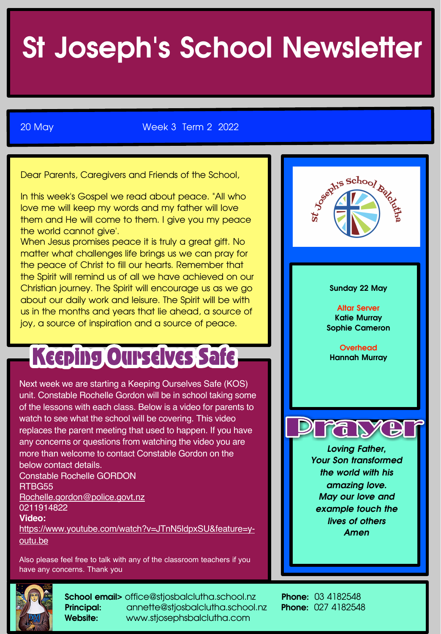# St Joseph's School Newsletter

20 May Week 3 Term 2 2022

Dear Parents, Caregivers and Friends of the School,

In this week's Gospel we read about peace. "All who love me will keep my words and my father will love them and He will come to them. I give you my peace the world cannot give'.

When Jesus promises peace it is truly a great gift. No matter what challenges life brings us we can pray for the peace of Christ to fill our hearts. Remember that the Spirit will remind us of all we have achieved on our Christian journey. The Spirit will encourage us as we go about our daily work and leisure. The Spirit will be with us in the months and years that lie ahead, a source of joy, a source of inspiration and a source of peace.

## Keeping Ourselves Safe

Next week we are starting a Keeping Ourselves Safe (KOS) unit. Constable Rochelle Gordon will be in school taking some of the lessons with each class. Below is a video for parents to watch to see what the school will be covering. This video replaces the parent meeting that used to happen. If you have any concerns or questions from watching the video you are more than welcome to contact Constable Gordon on the below contact details. Constable Rochelle GORDON

RTBG55 Rochelle.gordon@police.govt.nz 0211914822

**Video:**

https://www.youtube.com/watch?v=JTnN5ldpxSU&feature=youtu.be

Also please feel free to talk with any of the classroom teachers if you have any concerns. Thank you



School email> office@stjosbalclutha.school.nz Phone: 03 4182548 Principal: annette@stjosbalclutha.school.nz Phone: 027 4182548 Website: www.stjosephsbalclutha.com

Marchie School Back Sunday 22 May Altar Server Katie Murray Sophie Cameron **Overhead** Hannah Murray *Loving Father, Your Son transformed the world with his amazing love. May our love and example touch the lives of others Amen*